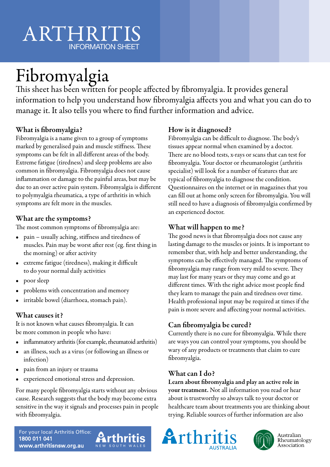# ARTHRITIS INFORMATION SHEET

# Fibromyalgia

This sheet has been written for people affected by fibromyalgia. It provides general information to help you understand how fibromyalgia affects you and what you can do to manage it. It also tells you where to find further information and advice.

## What is fibromyalgia?

Fibromyalgia is a name given to a group of symptoms marked by generalised pain and muscle stiffness. These symptoms can be felt in all different areas of the body. Extreme fatigue (tiredness) and sleep problems are also common in fibromyalgia. Fibromyalgia does not cause inflammation or damage to the painful areas, but may be due to an over active pain system. Fibromyalgia is different to polymyalgia rheumatica, a type of arthritis in which symptoms are felt more in the muscles.

#### What are the symptoms?

The most common symptoms of fibromyalgia are:

- pain usually aching, stiffness and tiredness of muscles. Pain may be worst after rest (eg. first thing in the morning) or after activity
- extreme fatigue (tiredness), making it difficult to do your normal daily activities
- poor sleep
- problems with concentration and memory
- irritable bowel (diarrhoea, stomach pain).

### What causes it?

It is not known what causes fibromyalgia. It can be more common in people who have:

- inflammatory arthritis (for example, rheumatoid arthritis)
- an illness, such as a virus (or following an illness or infection)
- pain from an injury or trauma
- experienced emotional stress and depression.

For many people fibromyalgia starts without any obvious cause. Research suggests that the body may become extra sensitive in the way it signals and processes pain in people with fibromyalgia.

## How is it diagnosed?

Fibromyalgia can be difficult to diagnose. The body's tissues appear normal when examined by a doctor. There are no blood tests, x-rays or scans that can test for fibromyalgia. Your doctor or rheumatologist (arthritis specialist) will look for a number of features that are typical of fibromyalgia to diagnose the condition. Questionnaires on the internet or in magazines that you can fill out at home only screen for fibromyalgia. You will still need to have a diagnosis of fibromyalgia confirmed by an experienced doctor.

#### What will happen to me?

The good news is that fibromyalgia does not cause any lasting damage to the muscles or joints. It is important to remember that, with help and better understanding, the symptoms can be effectively managed. The symptoms of fibromyalgia may range from very mild to severe. They may last for many years or they may come and go at different times. With the right advice most people find they learn to manage the pain and tiredness over time. Health professional input may be required at times if the pain is more severe and affecting your normal activities.

## Can fibromyalgia be cured?

Currently there is no cure for fibromyalgia. While there are ways you can control your symptoms, you should be wary of any products or treatments that claim to cure fibromyalgia.

#### What can I do?

Learn about fibromyalgia and play an active role in your treatment. Not all information you read or hear about is trustworthy so always talk to your doctor or healthcare team about treatments you are thinking about trying. Reliable sources of further information are also